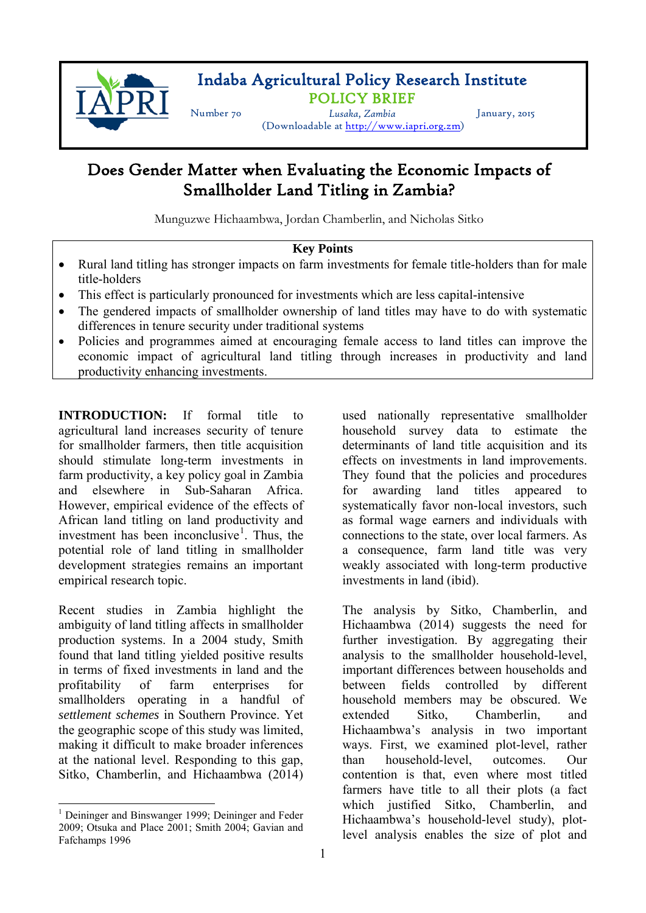

# Indaba Agricultural Policy Research Institute POLICY BRIEF Number 70 *Lusaka, Zambia* January, 2015

(Downloadable at [http://www.iapri.org.zm\)](http://www.iapri.org.zm)

## Does Gender Matter when Evaluating the Economic Impacts of Smallholder Land Titling in Zambia?

Munguzwe Hichaambwa, Jordan Chamberlin, and Nicholas Sitko

### **Key Points**

- Rural land titling has stronger impacts on farm investments for female title-holders than for male title-holders
- This effect is particularly pronounced for investments which are less capital-intensive
- The gendered impacts of smallholder ownership of land titles may have to do with systematic differences in tenure security under traditional systems
- Policies and programmes aimed at encouraging female access to land titles can improve the economic impact of agricultural land titling through increases in productivity and land productivity enhancing investments.

**INTRODUCTION:** If formal title to agricultural land increases security of tenure for smallholder farmers, then title acquisition should stimulate long-term investments in farm productivity, a key policy goal in Zambia and elsewhere in Sub-Saharan Africa. However, empirical evidence of the effects of African land titling on land productivity and investment has been inconclusive<sup>[1](#page-0-0)</sup>. Thus, the potential role of land titling in smallholder development strategies remains an important empirical research topic.

Recent studies in Zambia highlight the ambiguity of land titling affects in smallholder production systems. In a 2004 study, Smith found that land titling yielded positive results in terms of fixed investments in land and the profitability of farm enterprises for smallholders operating in a handful of *settlement schemes* in Southern Province. Yet the geographic scope of this study was limited, making it difficult to make broader inferences at the national level. Responding to this gap, Sitko, Chamberlin, and Hichaambwa (2014)

used nationally representative smallholder household survey data to estimate the determinants of land title acquisition and its effects on investments in land improvements. They found that the policies and procedures for awarding land titles appeared systematically favor non-local investors, such as formal wage earners and individuals with connections to the state, over local farmers. As a consequence, farm land title was very weakly associated with long-term productive investments in land (ibid).

The analysis by Sitko, Chamberlin, and Hichaambwa (2014) suggests the need for further investigation. By aggregating their analysis to the smallholder household-level, important differences between households and between fields controlled by different household members may be obscured. We extended Sitko, Chamberlin, and Hichaambwa's analysis in two important ways. First, we examined plot-level, rather than household-level, outcomes. Our contention is that, even where most titled farmers have title to all their plots (a fact which justified Sitko, Chamberlin, and Hichaambwa's household-level study), plotlevel analysis enables the size of plot and

<span id="page-0-0"></span><sup>&</sup>lt;sup>1</sup> Deininger and Binswanger 1999; Deininger and Feder 2009; Otsuka and Place 2001; Smith 2004; Gavian and Fafchamps 1996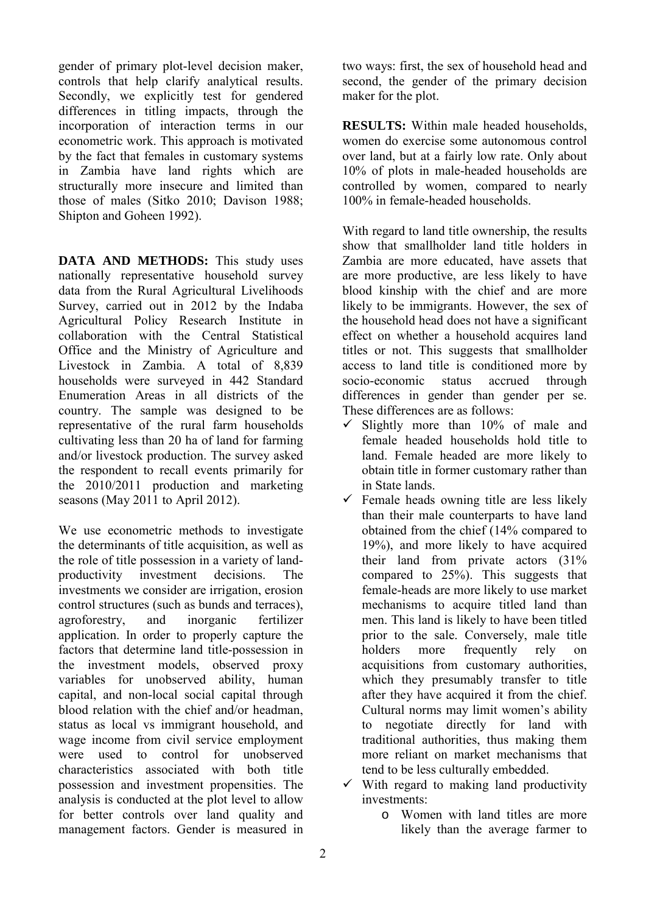gender of primary plot-level decision maker, controls that help clarify analytical results. Secondly, we explicitly test for gendered differences in titling impacts, through the incorporation of interaction terms in our econometric work. This approach is motivated by the fact that females in customary systems in Zambia have land rights which are structurally more insecure and limited than those of males (Sitko 2010; Davison 1988; Shipton and Goheen 1992).

**DATA AND METHODS:** This study uses nationally representative household survey data from the Rural Agricultural Livelihoods Survey, carried out in 2012 by the Indaba Agricultural Policy Research Institute in collaboration with the Central Statistical Office and the Ministry of Agriculture and Livestock in Zambia. A total of 8,839 households were surveyed in 442 Standard Enumeration Areas in all districts of the country. The sample was designed to be representative of the rural farm households cultivating less than 20 ha of land for farming and/or livestock production. The survey asked the respondent to recall events primarily for the 2010/2011 production and marketing seasons (May 2011 to April 2012).

We use econometric methods to investigate the determinants of title acquisition, as well as the role of title possession in a variety of landproductivity investment decisions. The investments we consider are irrigation, erosion control structures (such as bunds and terraces), agroforestry, and inorganic fertilizer application. In order to properly capture the factors that determine land title-possession in the investment models, observed proxy variables for unobserved ability, human capital, and non-local social capital through blood relation with the chief and/or headman, status as local vs immigrant household, and wage income from civil service employment were used to control for unobserved characteristics associated with both title possession and investment propensities. The analysis is conducted at the plot level to allow for better controls over land quality and management factors. Gender is measured in

two ways: first, the sex of household head and second, the gender of the primary decision maker for the plot.

**RESULTS:** Within male headed households, women do exercise some autonomous control over land, but at a fairly low rate. Only about 10% of plots in male-headed households are controlled by women, compared to nearly 100% in female-headed households.

With regard to land title ownership, the results show that smallholder land title holders in Zambia are more educated, have assets that are more productive, are less likely to have blood kinship with the chief and are more likely to be immigrants. However, the sex of the household head does not have a significant effect on whether a household acquires land titles or not. This suggests that smallholder access to land title is conditioned more by socio-economic status accrued through differences in gender than gender per se. These differences are as follows:

- $\checkmark$  Slightly more than 10% of male and female headed households hold title to land. Female headed are more likely to obtain title in former customary rather than in State lands.
- $\checkmark$  Female heads owning title are less likely than their male counterparts to have land obtained from the chief (14% compared to 19%), and more likely to have acquired their land from private actors (31% compared to 25%). This suggests that female-heads are more likely to use market mechanisms to acquire titled land than men. This land is likely to have been titled prior to the sale. Conversely, male title holders more frequently rely on acquisitions from customary authorities, which they presumably transfer to title after they have acquired it from the chief. Cultural norms may limit women's ability to negotiate directly for land with traditional authorities, thus making them more reliant on market mechanisms that tend to be less culturally embedded.
- $\checkmark$  With regard to making land productivity investments:
	- o Women with land titles are more likely than the average farmer to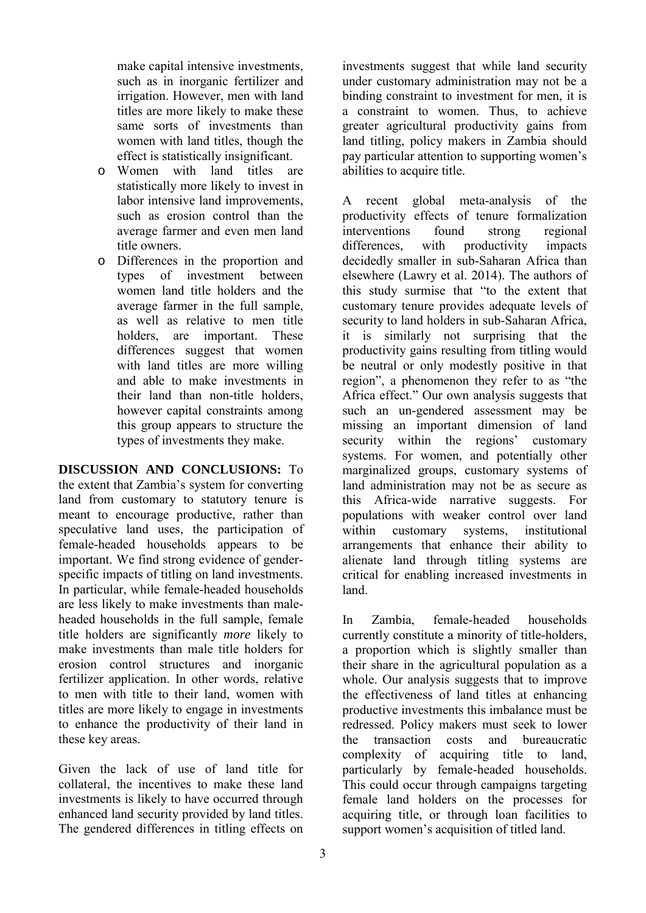make capital intensive investments, such as in inorganic fertilizer and irrigation. However, men with land titles are more likely to make these same sorts of investments than women with land titles, though the effect is statistically insignificant.

- o Women with land titles are statistically more likely to invest in labor intensive land improvements, such as erosion control than the average farmer and even men land title owners.
- o Differences in the proportion and types of investment women land title holders and the average farmer in the full sample, as well as relative to men title holders, are important. These differences suggest that women with land titles are more willing and able to make investments in their land than non-title holders, however capital constraints among this group appears to structure the types of investments they make.

**DISCUSSION AND CONCLUSIONS:** To the extent that Zambia's system for converting land from customary to statutory tenure is meant to encourage productive, rather than speculative land uses, the participation of female-headed households appears to be important. We find strong evidence of genderspecific impacts of titling on land investments. In particular, while female-headed households are less likely to make investments than maleheaded households in the full sample, female title holders are significantly *more* likely to make investments than male title holders for erosion control structures and inorganic fertilizer application. In other words, relative to men with title to their land, women with titles are more likely to engage in investments to enhance the productivity of their land in these key areas.

Given the lack of use of land title for collateral, the incentives to make these land investments is likely to have occurred through enhanced land security provided by land titles. The gendered differences in titling effects on

3

investments suggest that while land security under customary administration may not be a binding constraint to investment for men, it is a constraint to women. Thus, to achieve greater agricultural productivity gains from land titling, policy makers in Zambia should pay particular attention to supporting women's abilities to acquire title.

A recent global meta-analysis of the productivity effects of tenure formalization interventions found strong regional differences, with productivity impacts decidedly smaller in sub-Saharan Africa than elsewhere (Lawry et al. 2014). The authors of this study surmise that "to the extent that customary tenure provides adequate levels of security to land holders in sub-Saharan Africa, it is similarly not surprising that the productivity gains resulting from titling would be neutral or only modestly positive in that region", a phenomenon they refer to as "the Africa effect." Our own analysis suggests that such an un-gendered assessment may be missing an important dimension of land security within the regions' customary systems. For women, and potentially other marginalized groups, customary systems of land administration may not be as secure as this Africa-wide narrative suggests. For populations with weaker control over land within customary systems, institutional arrangements that enhance their ability to alienate land through titling systems are critical for enabling increased investments in land.

In Zambia, female-headed households currently constitute a minority of title-holders, a proportion which is slightly smaller than their share in the agricultural population as a whole. Our analysis suggests that to improve the effectiveness of land titles at enhancing productive investments this imbalance must be redressed. Policy makers must seek to lower the transaction costs and bureaucratic complexity of acquiring title to land, particularly by female-headed households. This could occur through campaigns targeting female land holders on the processes for acquiring title, or through loan facilities to support women's acquisition of titled land.